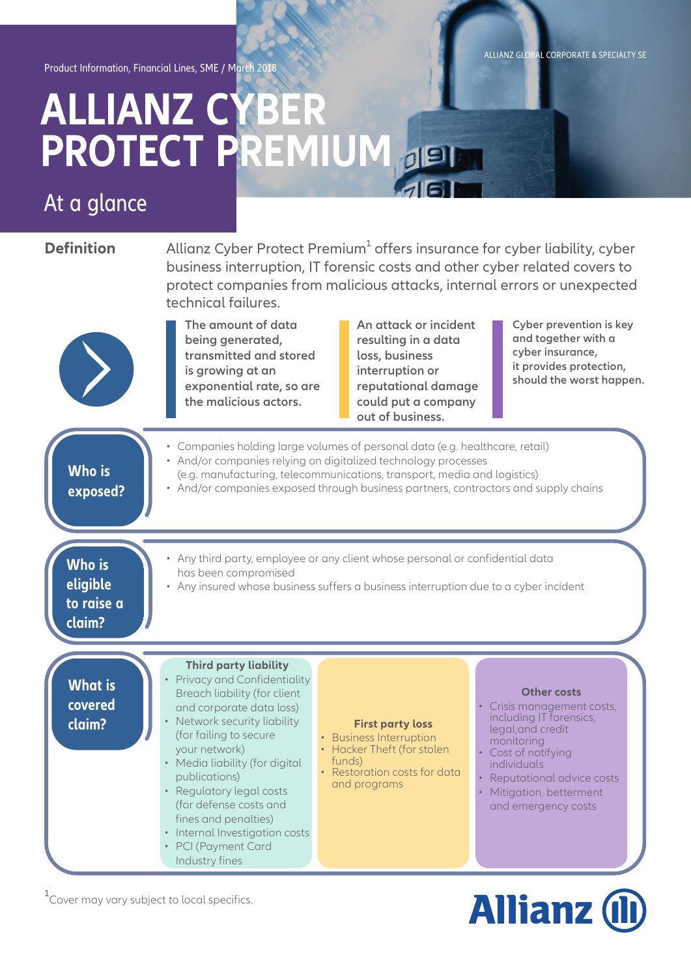ALLIANZ GLOBAL CORPORATE & SPECIALTY SE

Product Information, Financial Lines, SME / March 2018

## **ALLIANZ CYBER PROTECT PREMIUM**

### At a glance

**Definition** Allianz Cyber Protect Premium<sup>1</sup> offers insurance for cyber liability, cyber business interruption, IT forensic costs and other cyber related covers to protect companies from malicious attacks, internal errors or unexpected technical failures.

> **The amount of data being generated, transmitted and stored is growing at an exponential rate, so are the malicious actors.**

**An attack or incident resulting in a data loss, business interruption or reputational damage could put a company out of business.**

**Cyber prevention is key and together with a cyber insurance, it provides protection, should the worst happen.**

| <b>Who is</b><br>exposed?                         | Companies holding large volumes of personal data (e.g. healthcare, retail)<br>• And/or companies relying on digitalized technology processes<br>(e.g. manufacturing, telecommunications, transport, media and logistics)<br>• And/or companies exposed through business partners, contractors and supply chains                                                                                                     |                                                                                                                                                                                                                                                                                                                                                                       |  |
|---------------------------------------------------|---------------------------------------------------------------------------------------------------------------------------------------------------------------------------------------------------------------------------------------------------------------------------------------------------------------------------------------------------------------------------------------------------------------------|-----------------------------------------------------------------------------------------------------------------------------------------------------------------------------------------------------------------------------------------------------------------------------------------------------------------------------------------------------------------------|--|
| <b>Who is</b><br>eligible<br>to raise a<br>claim? | has been compromised                                                                                                                                                                                                                                                                                                                                                                                                | • Any third party, employee or any client whose personal or confidential data<br>• Any insured whose business suffers a business interruption due to a cyber incident                                                                                                                                                                                                 |  |
| <b>What is</b><br>covered<br>claim?               | <b>Third party liability</b><br><b>Privacy and Confidentiality</b><br>Breach liability (for client<br>and corporate data loss)<br>Network security liability<br>(for failing to secure<br>your network)<br>• Media liability (for digital<br>publications)<br>• Regulatory legal costs<br>(for defense costs and<br>fines and penalties)<br>• Internal Investigation costs<br>• PCI (Payment Card<br>Industry fines | Other costs<br>Crisis management costs,<br>including IT forensics,<br><b>First party loss</b><br>legal, and credit<br>• Business Interruption<br>monitoring<br>• Hacker Theft (for stolen<br>Cost of notifying<br>funds)<br>individuals<br>• Restoration costs for data<br>Reputational advice costs<br>and programs<br>Mitigation, betterment<br>and emergency costs |  |

<sup>1</sup> Cover may vary subject to local specifics.

# **Allianz (I)**